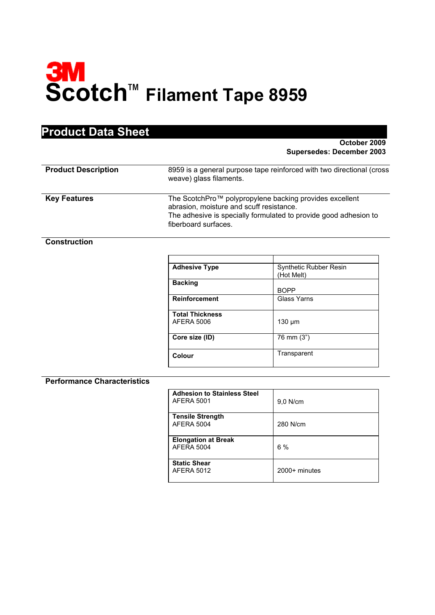

| <b>Product Data Sheet</b> |
|---------------------------|
|---------------------------|

**October 2009 Supersedes: December 2003** 

| <b>Product Description</b> | 8959 is a general purpose tape reinforced with two directional (cross<br>weave) glass filaments.                                                                                                |
|----------------------------|-------------------------------------------------------------------------------------------------------------------------------------------------------------------------------------------------|
| <b>Key Features</b>        | The ScotchPro™ polypropylene backing provides excellent<br>abrasion, moisture and scuff resistance.<br>The adhesive is specially formulated to provide good adhesion to<br>fiberboard surfaces. |

**Construction**

| <b>Adhesive Type</b>   | <b>Synthetic Rubber Resin</b><br>(Hot Melt) |
|------------------------|---------------------------------------------|
| <b>Backing</b>         |                                             |
|                        | <b>BOPP</b>                                 |
| <b>Reinforcement</b>   | Glass Yarns                                 |
| <b>Total Thickness</b> |                                             |
| AFERA 5006             | $130 \mu m$                                 |
| Core size (ID)         | 76 mm (3")                                  |
| Colour                 | Transparent                                 |

## **Performance Characteristics**

| <b>Adhesion to Stainless Steel</b><br>AFERA 5001 | 9,0 N/cm        |
|--------------------------------------------------|-----------------|
| <b>Tensile Strength</b><br><b>AFERA 5004</b>     | 280 N/cm        |
| <b>Elongation at Break</b><br><b>AFERA 5004</b>  | 6%              |
| <b>Static Shear</b><br><b>AFERA 5012</b>         | $2000+$ minutes |